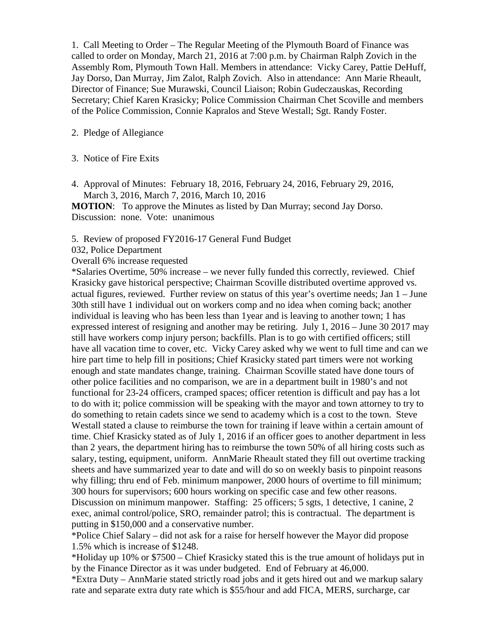1. Call Meeting to Order – The Regular Meeting of the Plymouth Board of Finance was called to order on Monday, March 21, 2016 at 7:00 p.m. by Chairman Ralph Zovich in the Assembly Rom, Plymouth Town Hall. Members in attendance: Vicky Carey, Pattie DeHuff, Jay Dorso, Dan Murray, Jim Zalot, Ralph Zovich. Also in attendance: Ann Marie Rheault, Director of Finance; Sue Murawski, Council Liaison; Robin Gudeczauskas, Recording Secretary; Chief Karen Krasicky; Police Commission Chairman Chet Scoville and members of the Police Commission, Connie Kapralos and Steve Westall; Sgt. Randy Foster.

#### 2. Pledge of Allegiance

- 3. Notice of Fire Exits
- 4. Approval of Minutes: February 18, 2016, February 24, 2016, February 29, 2016, March 3, 2016, March 7, 2016, March 10, 2016

**MOTION:** To approve the Minutes as listed by Dan Murray; second Jay Dorso. Discussion: none. Vote: unanimous

- 5. Review of proposed FY2016-17 General Fund Budget
- 032, Police Department
- Overall 6% increase requested

\*Salaries Overtime, 50% increase – we never fully funded this correctly, reviewed. Chief Krasicky gave historical perspective; Chairman Scoville distributed overtime approved vs. actual figures, reviewed. Further review on status of this year's overtime needs; Jan 1 – June 30th still have 1 individual out on workers comp and no idea when coming back; another individual is leaving who has been less than 1year and is leaving to another town; 1 has expressed interest of resigning and another may be retiring. July 1, 2016 – June 30 2017 may still have workers comp injury person; backfills. Plan is to go with certified officers; still have all vacation time to cover, etc. Vicky Carey asked why we went to full time and can we hire part time to help fill in positions; Chief Krasicky stated part timers were not working enough and state mandates change, training. Chairman Scoville stated have done tours of other police facilities and no comparison, we are in a department built in 1980's and not functional for 23-24 officers, cramped spaces; officer retention is difficult and pay has a lot to do with it; police commission will be speaking with the mayor and town attorney to try to do something to retain cadets since we send to academy which is a cost to the town. Steve Westall stated a clause to reimburse the town for training if leave within a certain amount of time. Chief Krasicky stated as of July 1, 2016 if an officer goes to another department in less than 2 years, the department hiring has to reimburse the town 50% of all hiring costs such as salary, testing, equipment, uniform. AnnMarie Rheault stated they fill out overtime tracking sheets and have summarized year to date and will do so on weekly basis to pinpoint reasons why filling; thru end of Feb. minimum manpower, 2000 hours of overtime to fill minimum; 300 hours for supervisors; 600 hours working on specific case and few other reasons. Discussion on minimum manpower. Staffing: 25 officers; 5 sgts, 1 detective, 1 canine, 2 exec, animal control/police, SRO, remainder patrol; this is contractual. The department is

putting in \$150,000 and a conservative number.

\*Police Chief Salary – did not ask for a raise for herself however the Mayor did propose 1.5% which is increase of \$1248.

\*Holiday up 10% or \$7500 – Chief Krasicky stated this is the true amount of holidays put in by the Finance Director as it was under budgeted. End of February at 46,000.

\*Extra Duty – AnnMarie stated strictly road jobs and it gets hired out and we markup salary rate and separate extra duty rate which is \$55/hour and add FICA, MERS, surcharge, car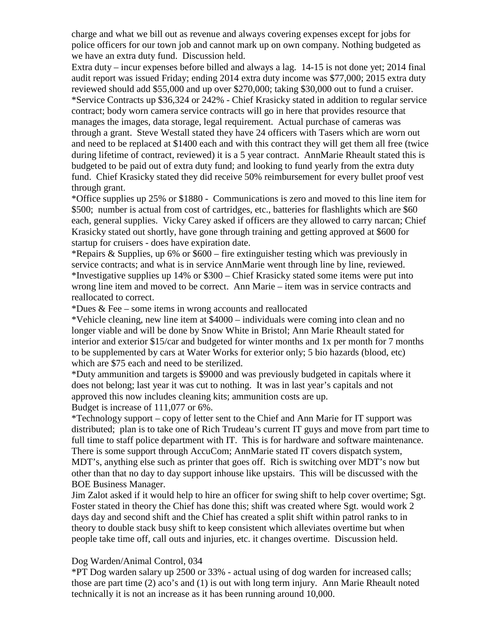charge and what we bill out as revenue and always covering expenses except for jobs for police officers for our town job and cannot mark up on own company. Nothing budgeted as we have an extra duty fund. Discussion held.

Extra duty – incur expenses before billed and always a lag. 14-15 is not done yet; 2014 final audit report was issued Friday; ending 2014 extra duty income was \$77,000; 2015 extra duty reviewed should add \$55,000 and up over \$270,000; taking \$30,000 out to fund a cruiser. \*Service Contracts up \$36,324 or 242% - Chief Krasicky stated in addition to regular service contract; body worn camera service contracts will go in here that provides resource that manages the images, data storage, legal requirement. Actual purchase of cameras was through a grant. Steve Westall stated they have 24 officers with Tasers which are worn out and need to be replaced at \$1400 each and with this contract they will get them all free (twice during lifetime of contract, reviewed) it is a 5 year contract. AnnMarie Rheault stated this is budgeted to be paid out of extra duty fund; and looking to fund yearly from the extra duty fund. Chief Krasicky stated they did receive 50% reimbursement for every bullet proof vest through grant.

\*Office supplies up 25% or \$1880 - Communications is zero and moved to this line item for \$500; number is actual from cost of cartridges, etc., batteries for flashlights which are \$60 each, general supplies. Vicky Carey asked if officers are they allowed to carry narcan; Chief Krasicky stated out shortly, have gone through training and getting approved at \$600 for startup for cruisers - does have expiration date.

\*Repairs & Supplies, up 6% or \$600 – fire extinguisher testing which was previously in service contracts; and what is in service AnnMarie went through line by line, reviewed. \*Investigative supplies up 14% or \$300 – Chief Krasicky stated some items were put into wrong line item and moved to be correct. Ann Marie – item was in service contracts and reallocated to correct.

\*Dues & Fee – some items in wrong accounts and reallocated

\*Vehicle cleaning, new line item at \$4000 – individuals were coming into clean and no longer viable and will be done by Snow White in Bristol; Ann Marie Rheault stated for interior and exterior \$15/car and budgeted for winter months and 1x per month for 7 months to be supplemented by cars at Water Works for exterior only; 5 bio hazards (blood, etc) which are \$75 each and need to be sterilized.

\*Duty ammunition and targets is \$9000 and was previously budgeted in capitals where it does not belong; last year it was cut to nothing. It was in last year's capitals and not approved this now includes cleaning kits; ammunition costs are up. Budget is increase of 111,077 or 6%.

\*Technology support – copy of letter sent to the Chief and Ann Marie for IT support was distributed; plan is to take one of Rich Trudeau's current IT guys and move from part time to full time to staff police department with IT. This is for hardware and software maintenance. There is some support through AccuCom; AnnMarie stated IT covers dispatch system, MDT's, anything else such as printer that goes off. Rich is switching over MDT's now but other than that no day to day support inhouse like upstairs. This will be discussed with the BOE Business Manager.

Jim Zalot asked if it would help to hire an officer for swing shift to help cover overtime; Sgt. Foster stated in theory the Chief has done this; shift was created where Sgt. would work 2 days day and second shift and the Chief has created a split shift within patrol ranks to in theory to double stack busy shift to keep consistent which alleviates overtime but when people take time off, call outs and injuries, etc. it changes overtime. Discussion held.

## Dog Warden/Animal Control, 034

\*PT Dog warden salary up 2500 or 33% - actual using of dog warden for increased calls; those are part time (2) aco's and (1) is out with long term injury. Ann Marie Rheault noted technically it is not an increase as it has been running around 10,000.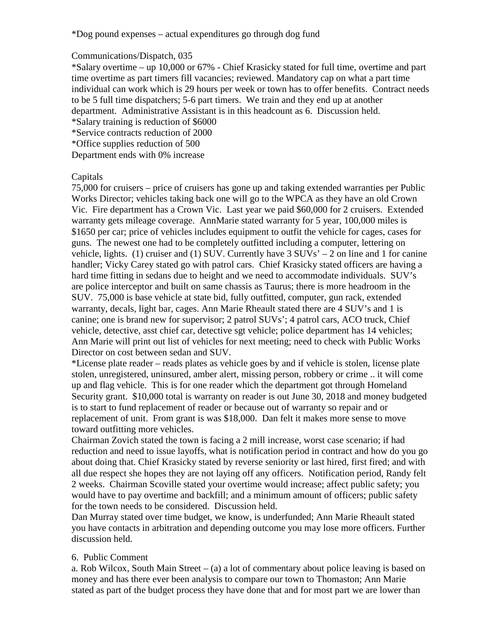\*Dog pound expenses – actual expenditures go through dog fund

## Communications/Dispatch, 035

\*Salary overtime – up 10,000 or 67% - Chief Krasicky stated for full time, overtime and part time overtime as part timers fill vacancies; reviewed. Mandatory cap on what a part time individual can work which is 29 hours per week or town has to offer benefits. Contract needs to be 5 full time dispatchers; 5-6 part timers. We train and they end up at another department. Administrative Assistant is in this headcount as 6. Discussion held. \*Salary training is reduction of \$6000

\*Service contracts reduction of 2000

\*Office supplies reduction of 500

Department ends with 0% increase

## Capitals

75,000 for cruisers – price of cruisers has gone up and taking extended warranties per Public Works Director; vehicles taking back one will go to the WPCA as they have an old Crown Vic. Fire department has a Crown Vic. Last year we paid \$60,000 for 2 cruisers. Extended warranty gets mileage coverage. AnnMarie stated warranty for 5 year, 100,000 miles is \$1650 per car; price of vehicles includes equipment to outfit the vehicle for cages, cases for guns. The newest one had to be completely outfitted including a computer, lettering on vehicle, lights. (1) cruiser and (1) SUV. Currently have  $3 \text{ SUSY}_s - 2$  on line and 1 for canine handler; Vicky Carey stated go with patrol cars. Chief Krasicky stated officers are having a hard time fitting in sedans due to height and we need to accommodate individuals. SUV's are police interceptor and built on same chassis as Taurus; there is more headroom in the SUV. 75,000 is base vehicle at state bid, fully outfitted, computer, gun rack, extended warranty, decals, light bar, cages. Ann Marie Rheault stated there are 4 SUV's and 1 is canine; one is brand new for supervisor; 2 patrol SUVs'; 4 patrol cars, ACO truck, Chief vehicle, detective, asst chief car, detective sgt vehicle; police department has 14 vehicles; Ann Marie will print out list of vehicles for next meeting; need to check with Public Works Director on cost between sedan and SUV.

\*License plate reader – reads plates as vehicle goes by and if vehicle is stolen, license plate stolen, unregistered, uninsured, amber alert, missing person, robbery or crime .. it will come up and flag vehicle. This is for one reader which the department got through Homeland Security grant. \$10,000 total is warranty on reader is out June 30, 2018 and money budgeted is to start to fund replacement of reader or because out of warranty so repair and or replacement of unit. From grant is was \$18,000. Dan felt it makes more sense to move toward outfitting more vehicles.

Chairman Zovich stated the town is facing a 2 mill increase, worst case scenario; if had reduction and need to issue layoffs, what is notification period in contract and how do you go about doing that. Chief Krasicky stated by reverse seniority or last hired, first fired; and with all due respect she hopes they are not laying off any officers. Notification period, Randy felt 2 weeks. Chairman Scoville stated your overtime would increase; affect public safety; you would have to pay overtime and backfill; and a minimum amount of officers; public safety for the town needs to be considered. Discussion held.

Dan Murray stated over time budget, we know, is underfunded; Ann Marie Rheault stated you have contacts in arbitration and depending outcome you may lose more officers. Further discussion held.

## 6. Public Comment

a. Rob Wilcox, South Main Street – (a) a lot of commentary about police leaving is based on money and has there ever been analysis to compare our town to Thomaston; Ann Marie stated as part of the budget process they have done that and for most part we are lower than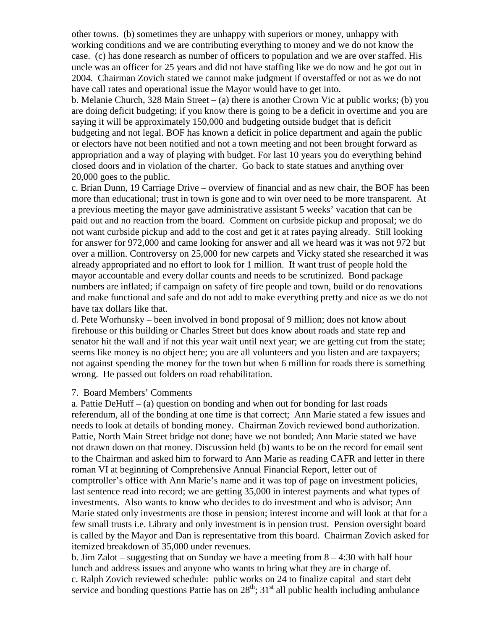other towns. (b) sometimes they are unhappy with superiors or money, unhappy with working conditions and we are contributing everything to money and we do not know the case. (c) has done research as number of officers to population and we are over staffed. His uncle was an officer for 25 years and did not have staffing like we do now and he got out in 2004. Chairman Zovich stated we cannot make judgment if overstaffed or not as we do not have call rates and operational issue the Mayor would have to get into.

b. Melanie Church, 328 Main Street – (a) there is another Crown Vic at public works; (b) you are doing deficit budgeting; if you know there is going to be a deficit in overtime and you are saying it will be approximately 150,000 and budgeting outside budget that is deficit budgeting and not legal. BOF has known a deficit in police department and again the public or electors have not been notified and not a town meeting and not been brought forward as appropriation and a way of playing with budget. For last 10 years you do everything behind closed doors and in violation of the charter. Go back to state statues and anything over 20,000 goes to the public.

c. Brian Dunn, 19 Carriage Drive – overview of financial and as new chair, the BOF has been more than educational; trust in town is gone and to win over need to be more transparent. At a previous meeting the mayor gave administrative assistant 5 weeks' vacation that can be paid out and no reaction from the board. Comment on curbside pickup and proposal; we do not want curbside pickup and add to the cost and get it at rates paying already. Still looking for answer for 972,000 and came looking for answer and all we heard was it was not 972 but over a million. Controversy on 25,000 for new carpets and Vicky stated she researched it was already appropriated and no effort to look for 1 million. If want trust of people hold the mayor accountable and every dollar counts and needs to be scrutinized. Bond package numbers are inflated; if campaign on safety of fire people and town, build or do renovations and make functional and safe and do not add to make everything pretty and nice as we do not have tax dollars like that.

d. Pete Worhunsky – been involved in bond proposal of 9 million; does not know about firehouse or this building or Charles Street but does know about roads and state rep and senator hit the wall and if not this year wait until next year; we are getting cut from the state; seems like money is no object here; you are all volunteers and you listen and are taxpayers; not against spending the money for the town but when 6 million for roads there is something wrong. He passed out folders on road rehabilitation.

#### 7. Board Members' Comments

a. Pattie DeHuff – (a) question on bonding and when out for bonding for last roads referendum, all of the bonding at one time is that correct; Ann Marie stated a few issues and needs to look at details of bonding money. Chairman Zovich reviewed bond authorization. Pattie, North Main Street bridge not done; have we not bonded; Ann Marie stated we have not drawn down on that money. Discussion held (b) wants to be on the record for email sent to the Chairman and asked him to forward to Ann Marie as reading CAFR and letter in there roman VI at beginning of Comprehensive Annual Financial Report, letter out of comptroller's office with Ann Marie's name and it was top of page on investment policies, last sentence read into record; we are getting 35,000 in interest payments and what types of investments. Also wants to know who decides to do investment and who is advisor; Ann Marie stated only investments are those in pension; interest income and will look at that for a few small trusts i.e. Library and only investment is in pension trust. Pension oversight board is called by the Mayor and Dan is representative from this board. Chairman Zovich asked for itemized breakdown of 35,000 under revenues.

b. Jim Zalot – suggesting that on Sunday we have a meeting from  $8 - 4:30$  with half hour lunch and address issues and anyone who wants to bring what they are in charge of. c. Ralph Zovich reviewed schedule: public works on 24 to finalize capital and start debt service and bonding questions Pattie has on  $28<sup>th</sup>$ ;  $31<sup>st</sup>$  all public health including ambulance